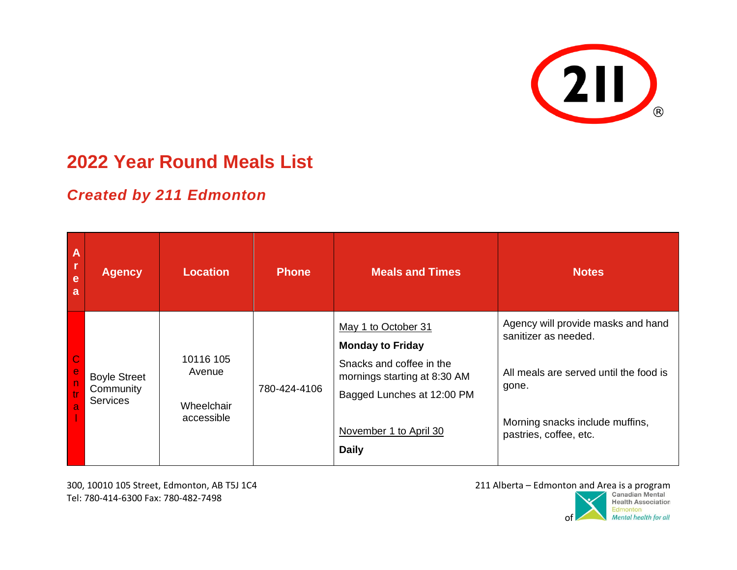

## **2022 Year Round Meals List**

## *Created by 211 Edmonton*

| $\Delta$<br>l r<br>e<br>a                                                      | <b>Agency</b>                                       | <b>Location</b>                                 | <b>Phone</b> | <b>Meals and Times</b>                                                                                                                                                             | <b>Notes</b>                                                                                                                                                               |
|--------------------------------------------------------------------------------|-----------------------------------------------------|-------------------------------------------------|--------------|------------------------------------------------------------------------------------------------------------------------------------------------------------------------------------|----------------------------------------------------------------------------------------------------------------------------------------------------------------------------|
| $\frac{C}{e}$<br>$\begin{bmatrix} 0 \\ 0 \\ 0 \end{bmatrix}$<br>$\overline{a}$ | <b>Boyle Street</b><br>Community<br><b>Services</b> | 10116 105<br>Avenue<br>Wheelchair<br>accessible | 780-424-4106 | May 1 to October 31<br><b>Monday to Friday</b><br>Snacks and coffee in the<br>mornings starting at 8:30 AM<br>Bagged Lunches at 12:00 PM<br>November 1 to April 30<br><b>Daily</b> | Agency will provide masks and hand<br>sanitizer as needed.<br>All meals are served until the food is<br>gone.<br>Morning snacks include muffins,<br>pastries, coffee, etc. |

300, 10010 105 Street, Edmonton, AB T5J 1C4 Tel: 780-414-6300 Fax: 780-482-7498

211 Alberta – Edmonton and Area is a program

**Health Association** Edmonton Mental health for all of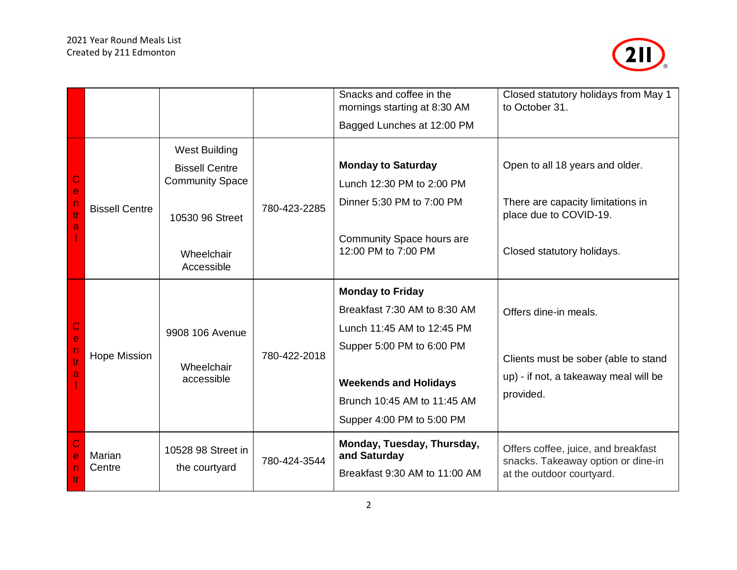

|                            |                       |                                               |              | Snacks and coffee in the<br>mornings starting at 8:30 AM                    | Closed statutory holidays from May 1<br>to October 31.                                                 |
|----------------------------|-----------------------|-----------------------------------------------|--------------|-----------------------------------------------------------------------------|--------------------------------------------------------------------------------------------------------|
|                            |                       |                                               |              | Bagged Lunches at 12:00 PM                                                  |                                                                                                        |
|                            | <b>Bissell Centre</b> | <b>West Building</b><br><b>Bissell Centre</b> |              | <b>Monday to Saturday</b>                                                   | Open to all 18 years and older.                                                                        |
|                            |                       | <b>Community Space</b>                        |              | Lunch 12:30 PM to 2:00 PM                                                   |                                                                                                        |
| e<br>tr                    |                       | 10530 96 Street                               | 780-423-2285 | Dinner 5:30 PM to 7:00 PM                                                   | There are capacity limitations in<br>place due to COVID-19.                                            |
|                            |                       | Wheelchair<br>Accessible                      |              | Community Space hours are<br>12:00 PM to 7:00 PM                            | Closed statutory holidays.                                                                             |
|                            | <b>Hope Mission</b>   | 9908 106 Avenue<br>Wheelchair<br>accessible   | 780-422-2018 | <b>Monday to Friday</b>                                                     |                                                                                                        |
|                            |                       |                                               |              | Breakfast 7:30 AM to 8:30 AM                                                | Offers dine-in meals.                                                                                  |
| $\mathsf C$<br>$\mathbf e$ |                       |                                               |              | Lunch 11:45 AM to 12:45 PM                                                  |                                                                                                        |
| $\Gamma$                   |                       |                                               |              | Supper 5:00 PM to 6:00 PM                                                   | Clients must be sober (able to stand                                                                   |
| tr<br>a                    |                       |                                               |              | <b>Weekends and Holidays</b>                                                | up) - if not, a takeaway meal will be                                                                  |
|                            |                       |                                               |              | Brunch 10:45 AM to 11:45 AM                                                 | provided.                                                                                              |
|                            |                       |                                               |              | Supper 4:00 PM to 5:00 PM                                                   |                                                                                                        |
|                            | Marian<br>Centre      | 10528 98 Street in<br>the courtyard           | 780-424-3544 | Monday, Tuesday, Thursday,<br>and Saturday<br>Breakfast 9:30 AM to 11:00 AM | Offers coffee, juice, and breakfast<br>snacks. Takeaway option or dine-in<br>at the outdoor courtyard. |
| tr                         |                       |                                               |              |                                                                             |                                                                                                        |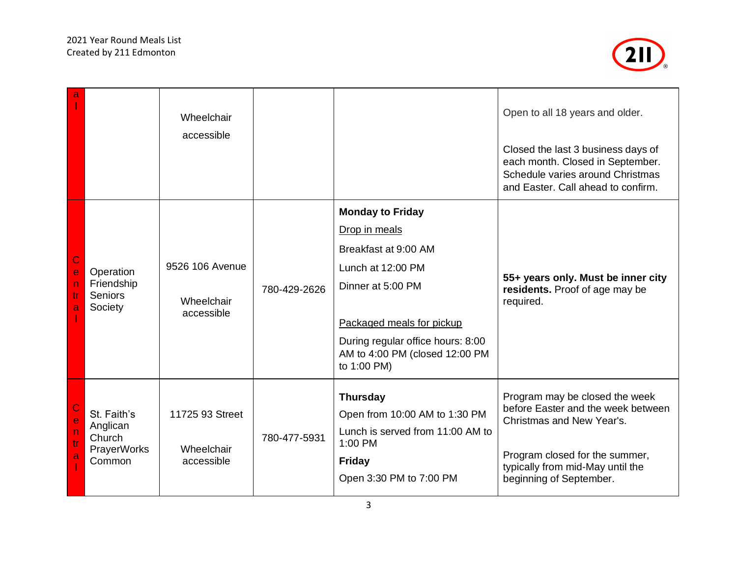

| a                                     |                                                            | Wheelchair<br>accessible                    |              |                                                                                                                                                                                                                               | Open to all 18 years and older.<br>Closed the last 3 business days of<br>each month. Closed in September.<br>Schedule varies around Christmas<br>and Easter. Call ahead to confirm.                |
|---------------------------------------|------------------------------------------------------------|---------------------------------------------|--------------|-------------------------------------------------------------------------------------------------------------------------------------------------------------------------------------------------------------------------------|----------------------------------------------------------------------------------------------------------------------------------------------------------------------------------------------------|
| $\mathsf C$<br>$\mathbf e$<br>tr<br>a | Operation<br>Friendship<br><b>Seniors</b><br>Society       | 9526 106 Avenue<br>Wheelchair<br>accessible | 780-429-2626 | <b>Monday to Friday</b><br>Drop in meals<br>Breakfast at 9:00 AM<br>Lunch at 12:00 PM<br>Dinner at 5:00 PM<br>Packaged meals for pickup<br>During regular office hours: 8:00<br>AM to 4:00 PM (closed 12:00 PM<br>to 1:00 PM) | 55+ years only. Must be inner city<br>residents. Proof of age may be<br>required.                                                                                                                  |
| e<br>$\overline{D}$<br>tr<br>a        | St. Faith's<br>Anglican<br>Church<br>PrayerWorks<br>Common | 11725 93 Street<br>Wheelchair<br>accessible | 780-477-5931 | <b>Thursday</b><br>Open from 10:00 AM to 1:30 PM<br>Lunch is served from 11:00 AM to<br>1:00 PM<br><b>Friday</b><br>Open 3:30 PM to 7:00 PM                                                                                   | Program may be closed the week<br>before Easter and the week between<br>Christmas and New Year's.<br>Program closed for the summer,<br>typically from mid-May until the<br>beginning of September. |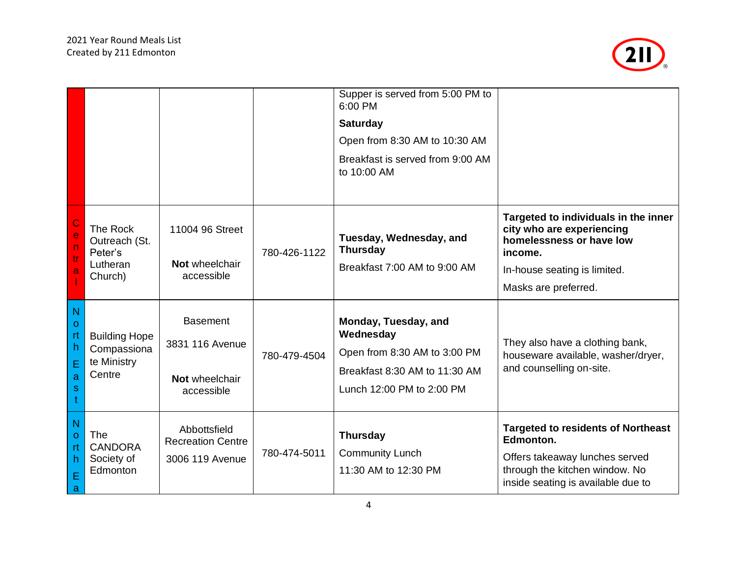

|                                                        |                                                              |                                                                    |              | Supper is served from 5:00 PM to<br>6:00 PM<br><b>Saturday</b><br>Open from 8:30 AM to 10:30 AM<br>Breakfast is served from 9:00 AM<br>to 10:00 AM |                                                                                                                                                                  |
|--------------------------------------------------------|--------------------------------------------------------------|--------------------------------------------------------------------|--------------|----------------------------------------------------------------------------------------------------------------------------------------------------|------------------------------------------------------------------------------------------------------------------------------------------------------------------|
| e<br>$\mathsf{n}$<br>tr<br>a                           | The Rock<br>Outreach (St.<br>Peter's<br>Lutheran<br>Church)  | 11004 96 Street<br>Not wheelchair<br>accessible                    | 780-426-1122 | Tuesday, Wednesday, and<br><b>Thursday</b><br>Breakfast 7:00 AM to 9:00 AM                                                                         | Targeted to individuals in the inner<br>city who are experiencing<br>homelessness or have low<br>income.<br>In-house seating is limited.<br>Masks are preferred. |
| N<br>$\mathbf{O}$<br>rt<br>h<br>Е<br>a<br>$\mathbf{s}$ | <b>Building Hope</b><br>Compassiona<br>te Ministry<br>Centre | <b>Basement</b><br>3831 116 Avenue<br>Not wheelchair<br>accessible | 780-479-4504 | Monday, Tuesday, and<br>Wednesday<br>Open from 8:30 AM to 3:00 PM<br>Breakfast 8:30 AM to 11:30 AM<br>Lunch 12:00 PM to 2:00 PM                    | They also have a clothing bank,<br>houseware available, washer/dryer,<br>and counselling on-site.                                                                |
| N<br>$\Omega$<br>rt<br>h.<br>E<br>a                    | The<br><b>CANDORA</b><br>Society of<br>Edmonton              | Abbottsfield<br><b>Recreation Centre</b><br>3006 119 Avenue        | 780-474-5011 | <b>Thursday</b><br><b>Community Lunch</b><br>11:30 AM to 12:30 PM                                                                                  | <b>Targeted to residents of Northeast</b><br>Edmonton.<br>Offers takeaway lunches served<br>through the kitchen window. No<br>inside seating is available due to |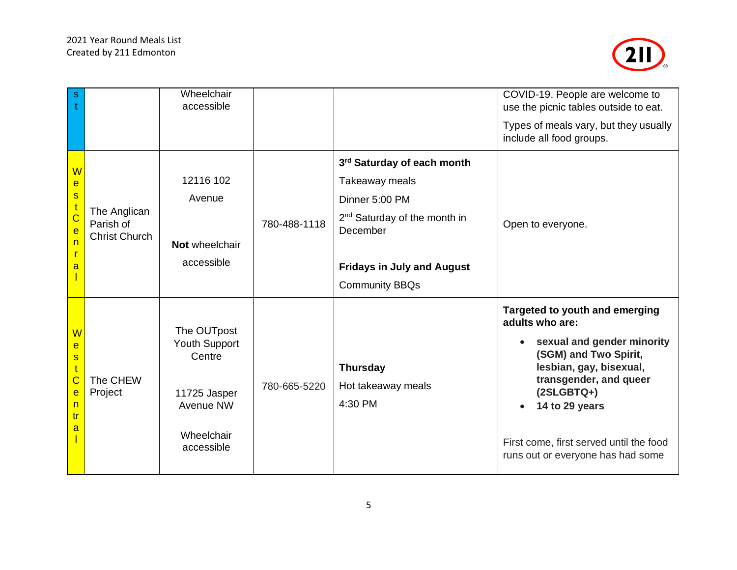

| $\mathsf{s}$                                                                             |                                                   | Wheelchair<br>accessible                                                                               |              |                                                                        | COVID-19. People are welcome to<br>use the picnic tables outside to eat.<br>Types of meals vary, but they usually                                                                                                                                                               |
|------------------------------------------------------------------------------------------|---------------------------------------------------|--------------------------------------------------------------------------------------------------------|--------------|------------------------------------------------------------------------|---------------------------------------------------------------------------------------------------------------------------------------------------------------------------------------------------------------------------------------------------------------------------------|
|                                                                                          |                                                   |                                                                                                        |              |                                                                        | include all food groups.                                                                                                                                                                                                                                                        |
| W<br>e<br>$\mathbf{s}$                                                                   | The Anglican<br>Parish of<br><b>Christ Church</b> | 12116 102<br>Avenue                                                                                    |              | 3rd Saturday of each month<br>Takeaway meals                           |                                                                                                                                                                                                                                                                                 |
| $\overline{\mathbf{C}}$<br>$\overline{e}$                                                |                                                   |                                                                                                        | 780-488-1118 | Dinner 5:00 PM<br>2 <sup>nd</sup> Saturday of the month in<br>December | Open to everyone.                                                                                                                                                                                                                                                               |
| n<br>a                                                                                   |                                                   | Not wheelchair<br>accessible                                                                           |              | <b>Fridays in July and August</b><br><b>Community BBQs</b>             |                                                                                                                                                                                                                                                                                 |
| W<br>e<br>$\mathbf{s}$<br>$\mathfrak{t}$<br>Ċ<br>e<br>n<br>tr<br>$\overline{\mathbf{a}}$ | The CHEW<br>Project                               | The OUTpost<br><b>Youth Support</b><br>Centre<br>11725 Jasper<br>Avenue NW<br>Wheelchair<br>accessible | 780-665-5220 | <b>Thursday</b><br>Hot takeaway meals<br>4:30 PM                       | Targeted to youth and emerging<br>adults who are:<br>sexual and gender minority<br>(SGM) and Two Spirit,<br>lesbian, gay, bisexual,<br>transgender, and queer<br>$(2SLGBTQ+)$<br>14 to 29 years<br>First come, first served until the food<br>runs out or everyone has had some |